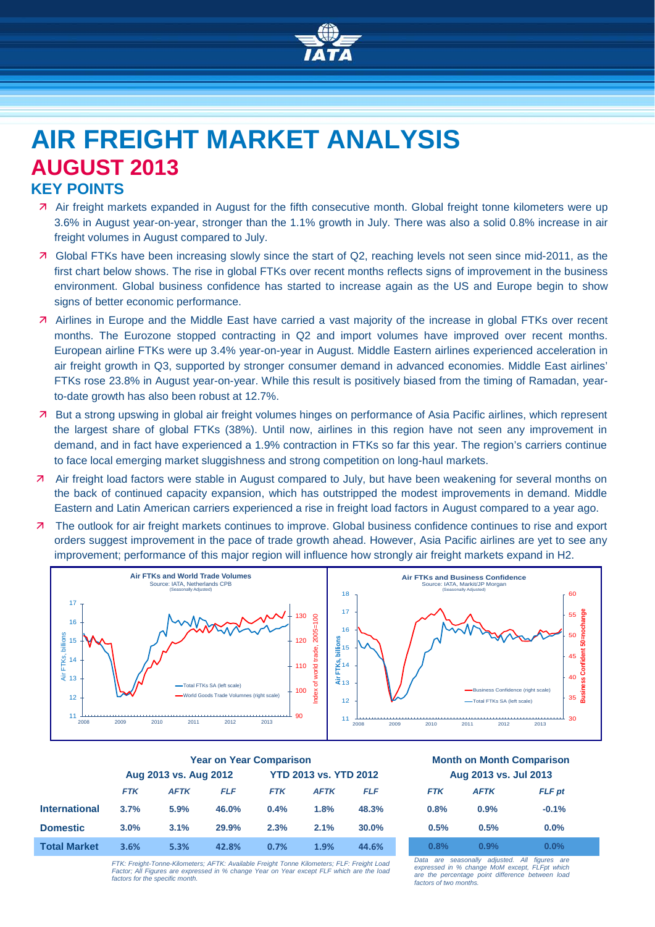

# **AIR FREIGHT MARKET ANALYSIS AUGUST 2013 KEY POINTS**

- Air freight markets expanded in August for the fifth consecutive month. Global freight tonne kilometers were up 3.6% in August year-on-year, stronger than the 1.1% growth in July. There was also a solid 0.8% increase in air freight volumes in August compared to July.
- Global FTKs have been increasing slowly since the start of Q2, reaching levels not seen since mid-2011, as the first chart below shows. The rise in global FTKs over recent months reflects signs of improvement in the business environment. Global business confidence has started to increase again as the US and Europe begin to show signs of better economic performance.
- Airlines in Europe and the Middle East have carried a vast majority of the increase in global FTKs over recent months. The Eurozone stopped contracting in Q2 and import volumes have improved over recent months. European airline FTKs were up 3.4% year-on-year in August. Middle Eastern airlines experienced acceleration in air freight growth in Q3, supported by stronger consumer demand in advanced economies. Middle East airlines' FTKs rose 23.8% in August year-on-year. While this result is positively biased from the timing of Ramadan, yearto-date growth has also been robust at 12.7%.
- But a strong upswing in global air freight volumes hinges on performance of Asia Pacific airlines, which represent the largest share of global FTKs (38%). Until now, airlines in this region have not seen any improvement in demand, and in fact have experienced a 1.9% contraction in FTKs so far this year. The region's carriers continue to face local emerging market sluggishness and strong competition on long-haul markets.
- **7** Air freight load factors were stable in August compared to July, but have been weakening for several months on the back of continued capacity expansion, which has outstripped the modest improvements in demand. Middle Eastern and Latin American carriers experienced a rise in freight load factors in August compared to a year ago.
- 7 The outlook for air freight markets continues to improve. Global business confidence continues to rise and export orders suggest improvement in the pace of trade growth ahead. However, Asia Pacific airlines are yet to see any improvement; performance of this major region will influence how strongly air freight markets expand in H2.



|                      | <b>Year on Year Comparison</b> |             |            |                              |             | <b>Month on Month Comparisor</b> |                       |                              |                                |
|----------------------|--------------------------------|-------------|------------|------------------------------|-------------|----------------------------------|-----------------------|------------------------------|--------------------------------|
|                      | Aug 2013 vs. Aug 2012          |             |            | <b>YTD 2013 vs. YTD 2012</b> |             |                                  | Aug 2013 vs. Jul 2013 |                              |                                |
|                      | <b>FTK</b>                     | <b>AFTK</b> | <b>FLF</b> | <b>FTK</b>                   | <b>AFTK</b> | <b>FLF</b>                       | <b>FTK</b>            | <b>AFTK</b>                  | <b>FLF</b> pt                  |
| <b>International</b> | 3.7%                           | 5.9%        | 46.0%      | 0.4%                         | 1.8%        | 48.3%                            | 0.8%                  | 0.9%                         | $-0.1%$                        |
| <b>Domestic</b>      | 3.0%                           | 3.1%        | 29.9%      | 2.3%                         | 2.1%        | 30.0%                            | 0.5%                  | 0.5%                         | 0.0%                           |
| <b>Total Market</b>  | 3.6%                           | 5.3%        | 42.8%      | 0.7%                         | 1.9%        | 44.6%                            | 0.8%                  | 0.9%                         | 0.0%                           |
|                      |                                |             |            |                              |             |                                  |                       | Data are accordible adjusted | $AB = E$ and $A = \frac{1}{2}$ |

# **Year on Year Comparison Month on Month Comparison Aug 2013 vs. Aug 2012 YTD 2013 vs. YTD 2012 Aug 2013 vs. Jul 2013**

| <b>FTK</b> | <b>AFTK</b> | <b>FLF</b> pt |  |
|------------|-------------|---------------|--|
| 0.8%       | 0.9%        | $-0.1%$       |  |
| 0.5%       | 0.5%        | $0.0\%$       |  |
| 0.8%       | 0.9%        | 0.0%          |  |

*FTK: Freight-Tonne-Kilometers; AFTK: Available Freight Tonne Kilometers; FLF: Freight Load Factor; All Figures are expressed in % change Year on Year except FLF which are the load factors for the specific month.*

*Data are seasonally adjusted. All figures are expressed in % change MoM except, FLFpt which are the percentage point difference between load factors of two months.*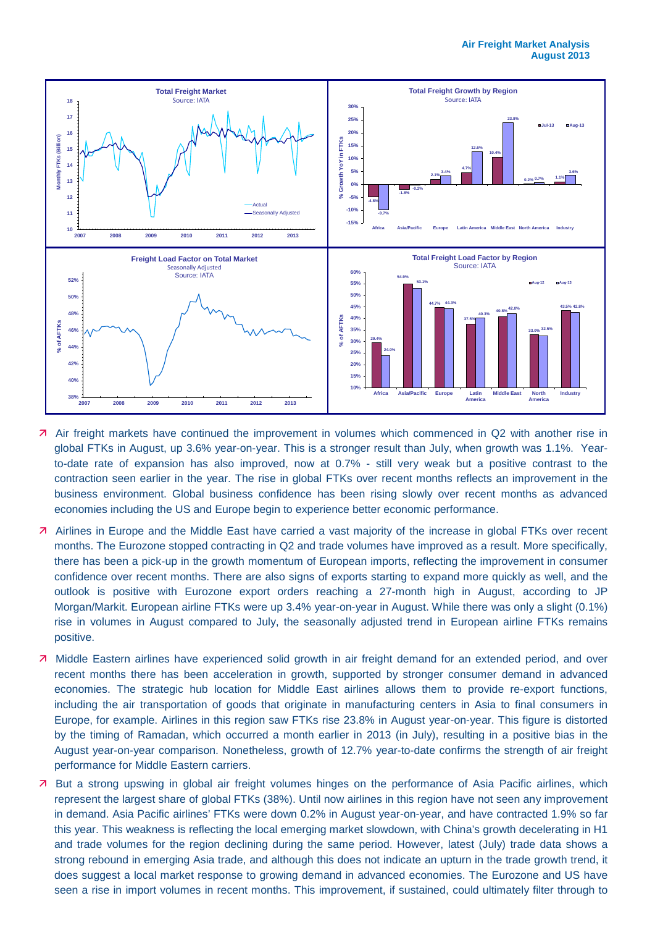

- Air freight markets have continued the improvement in volumes which commenced in Q2 with another rise in global FTKs in August, up 3.6% year-on-year. This is a stronger result than July, when growth was 1.1%. Yearto-date rate of expansion has also improved, now at 0.7% - still very weak but a positive contrast to the contraction seen earlier in the year. The rise in global FTKs over recent months reflects an improvement in the business environment. Global business confidence has been rising slowly over recent months as advanced economies including the US and Europe begin to experience better economic performance.
- Airlines in Europe and the Middle East have carried a vast majority of the increase in global FTKs over recent months. The Eurozone stopped contracting in Q2 and trade volumes have improved as a result. More specifically, there has been a pick-up in the growth momentum of European imports, reflecting the improvement in consumer confidence over recent months. There are also signs of exports starting to expand more quickly as well, and the outlook is positive with Eurozone export orders reaching a 27-month high in August, according to JP Morgan/Markit. European airline FTKs were up 3.4% year-on-year in August. While there was only a slight (0.1%) rise in volumes in August compared to July, the seasonally adjusted trend in European airline FTKs remains positive.
- Middle Eastern airlines have experienced solid growth in air freight demand for an extended period, and over recent months there has been acceleration in growth, supported by stronger consumer demand in advanced economies. The strategic hub location for Middle East airlines allows them to provide re-export functions, including the air transportation of goods that originate in manufacturing centers in Asia to final consumers in Europe, for example. Airlines in this region saw FTKs rise 23.8% in August year-on-year. This figure is distorted by the timing of Ramadan, which occurred a month earlier in 2013 (in July), resulting in a positive bias in the August year-on-year comparison. Nonetheless, growth of 12.7% year-to-date confirms the strength of air freight performance for Middle Eastern carriers.
- But a strong upswing in global air freight volumes hinges on the performance of Asia Pacific airlines, which represent the largest share of global FTKs (38%). Until now airlines in this region have not seen any improvement in demand. Asia Pacific airlines' FTKs were down 0.2% in August year-on-year, and have contracted 1.9% so far this year. This weakness is reflecting the local emerging market slowdown, with China's growth decelerating in H1 and trade volumes for the region declining during the same period. However, latest (July) trade data shows a strong rebound in emerging Asia trade, and although this does not indicate an upturn in the trade growth trend, it does suggest a local market response to growing demand in advanced economies. The Eurozone and US have seen a rise in import volumes in recent months. This improvement, if sustained, could ultimately filter through to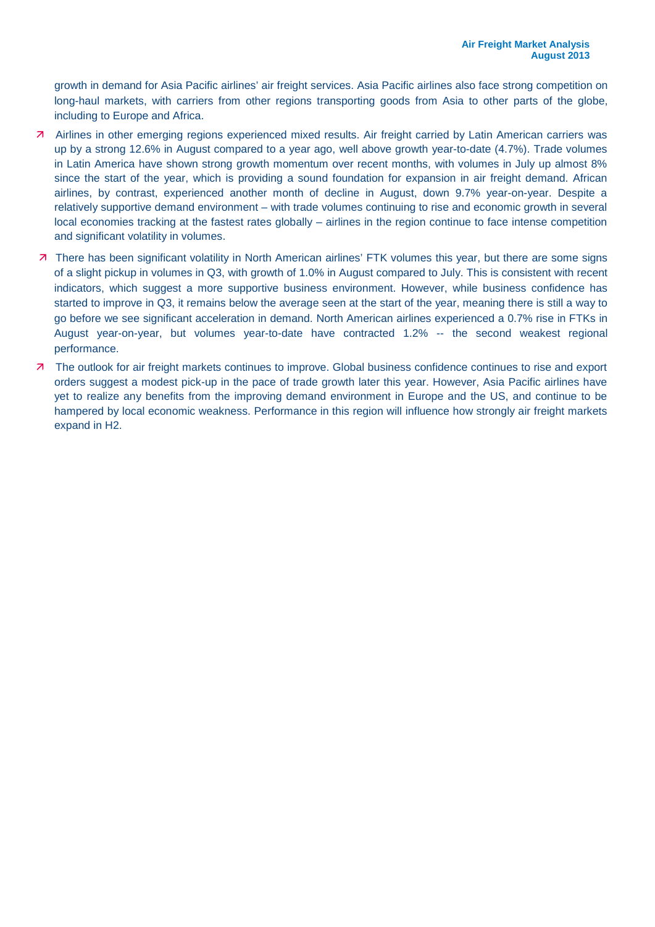growth in demand for Asia Pacific airlines' air freight services. Asia Pacific airlines also face strong competition on long-haul markets, with carriers from other regions transporting goods from Asia to other parts of the globe, including to Europe and Africa.

- Airlines in other emerging regions experienced mixed results. Air freight carried by Latin American carriers was up by a strong 12.6% in August compared to a year ago, well above growth year-to-date (4.7%). Trade volumes in Latin America have shown strong growth momentum over recent months, with volumes in July up almost 8% since the start of the year, which is providing a sound foundation for expansion in air freight demand. African airlines, by contrast, experienced another month of decline in August, down 9.7% year-on-year. Despite a relatively supportive demand environment – with trade volumes continuing to rise and economic growth in several local economies tracking at the fastest rates globally – airlines in the region continue to face intense competition and significant volatility in volumes.
- 7 There has been significant volatility in North American airlines' FTK volumes this year, but there are some signs of a slight pickup in volumes in Q3, with growth of 1.0% in August compared to July. This is consistent with recent indicators, which suggest a more supportive business environment. However, while business confidence has started to improve in Q3, it remains below the average seen at the start of the year, meaning there is still a way to go before we see significant acceleration in demand. North American airlines experienced a 0.7% rise in FTKs in August year-on-year, but volumes year-to-date have contracted 1.2% -- the second weakest regional performance.
- **7** The outlook for air freight markets continues to improve. Global business confidence continues to rise and export orders suggest a modest pick-up in the pace of trade growth later this year. However, Asia Pacific airlines have yet to realize any benefits from the improving demand environment in Europe and the US, and continue to be hampered by local economic weakness. Performance in this region will influence how strongly air freight markets expand in H2.